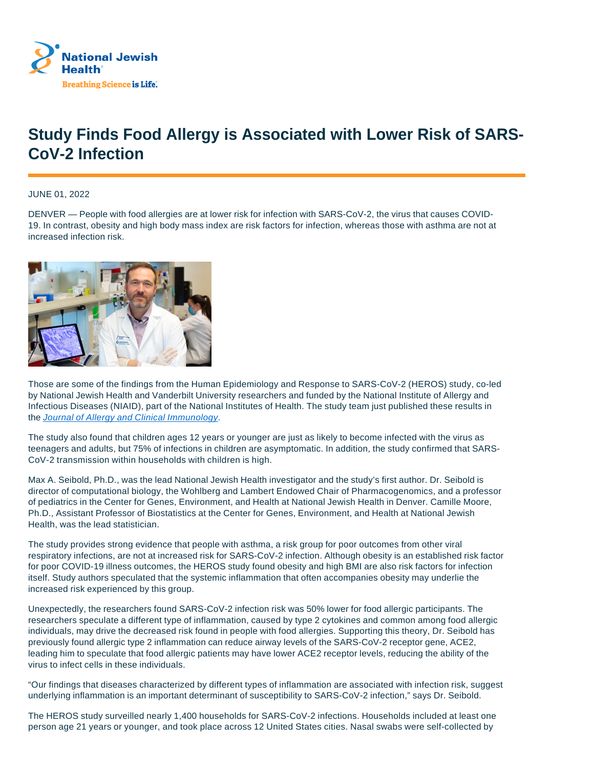

## **Study Finds Food Allergy is Associated with Lower Risk of SARS-CoV-2 Infection**

JUNE 01, 2022

DENVER — People with food allergies are at lower risk for infection with SARS-CoV-2, the virus that causes COVID-19. In contrast, obesity and high body mass index are risk factors for infection, whereas those with asthma are not at increased infection risk.



Those are some of the findings from the Human Epidemiology and Response to SARS-CoV-2 (HEROS) study, co-led by National Jewish Health and Vanderbilt University researchers and funded by the National Institute of Allergy and Infectious Diseases (NIAID), part of the National Institutes of Health. The study team just published these results in the Journal of Allergy and Clinical Immunology.

The study also found that children ages 12 years or younger are just as likely to become infected with the virus as teenagers and adults, but 75% of infections in children are asymptomatic. In addition, the study confirmed that SARS-CoV-2 transmission within households with children is high.

Max A. Seibold, Ph.D., was the lead National Jewish Health investigator and the study's first author. Dr. Seibold is director of computational biology, the Wohlberg and Lambert Endowed Chair of Pharmacogenomics, and a professor of pediatrics in the Center for Genes, Environment, and Health at National Jewish Health in Denver. Camille Moore, Ph.D., Assistant Professor of Biostatistics at the Center for Genes, Environment, and Health at National Jewish Health, was the lead statistician.

The study provides strong evidence that people with asthma, a risk group for poor outcomes from other viral respiratory infections, are not at increased risk for SARS-CoV-2 infection. Although obesity is an established risk factor for poor COVID-19 illness outcomes, the HEROS study found obesity and high BMI are also risk factors for infection itself. Study authors speculated that the systemic inflammation that often accompanies obesity may underlie the increased risk experienced by this group.

Unexpectedly, the researchers found SARS-CoV-2 infection risk was 50% lower for food allergic participants. The researchers speculate a different type of inflammation, caused by type 2 cytokines and common among food allergic individuals, may drive the decreased risk found in people with food allergies. Supporting this theory, Dr. Seibold has previously found allergic type 2 inflammation can reduce airway levels of the SARS-CoV-2 receptor gene, ACE2, leading him to speculate that food allergic patients may have lower ACE2 receptor levels, reducing the ability of the virus to infect cells in these individuals.

"Our findings that diseases characterized by different types of inflammation are associated with infection risk, suggest underlying inflammation is an important determinant of susceptibility to SARS-CoV-2 infection," says Dr. Seibold.

The HEROS study surveilled nearly 1,400 households for SARS-CoV-2 infections. Households included at least one person age 21 years or younger, and took place across 12 United States cities. Nasal swabs were self-collected by